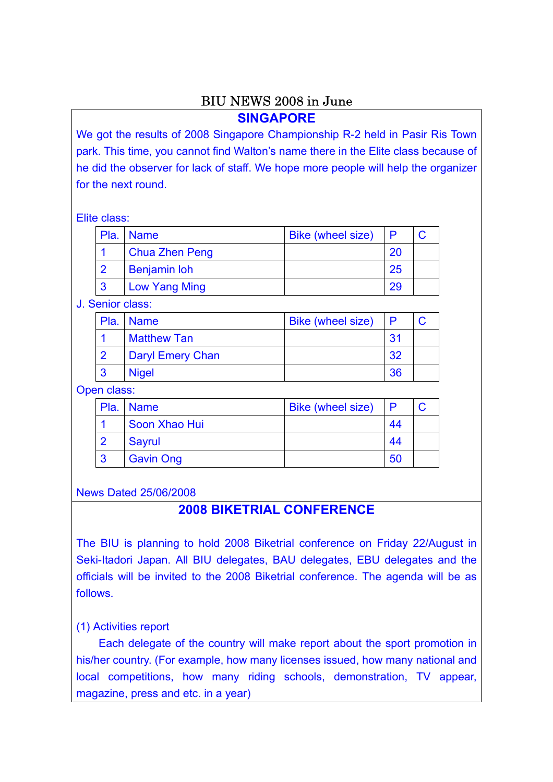# BIU NEWS 2008 in June

## **SINGAPORE**

We got the results of 2008 Singapore Championship R-2 held in Pasir Ris Town park. This time, you cannot find Walton's name there in the Elite class because of he did the observer for lack of staff. We hope more people will help the organizer for the next round.

#### Elite class:

| Pla.   Name           | <b>Bike (wheel size)</b> |    |  |
|-----------------------|--------------------------|----|--|
| <b>Chua Zhen Peng</b> |                          | 20 |  |
| <b>Benjamin loh</b>   |                          | 25 |  |
| <b>Low Yang Ming</b>  |                          | 29 |  |

J. Senior class:

| Pla. Name          | <b>Bike (wheel size)</b> |     |  |
|--------------------|--------------------------|-----|--|
| <b>Matthew Tan</b> |                          | 31  |  |
| Daryl Emery Chan   |                          | -32 |  |
| <b>Nigel</b>       |                          | 36  |  |

#### Open class:

|   | Pla.   Name      | <b>Bike (wheel size)</b> | P   |  |
|---|------------------|--------------------------|-----|--|
|   | Soon Xhao Hui    |                          | -44 |  |
|   | Sayrul           |                          | 44  |  |
| 3 | <b>Gavin Ong</b> |                          | 50  |  |

#### News Dated 25/06/2008

## **2008 BIKETRIAL CONFERENCE**

The BIU is planning to hold 2008 Biketrial conference on Friday 22/August in Seki-Itadori Japan. All BIU delegates, BAU delegates, EBU delegates and the officials will be invited to the 2008 Biketrial conference. The agenda will be as follows.

### (1) Activities report

Each delegate of the country will make report about the sport promotion in his/her country. (For example, how many licenses issued, how many national and local competitions, how many riding schools, demonstration, TV appear, magazine, press and etc. in a year)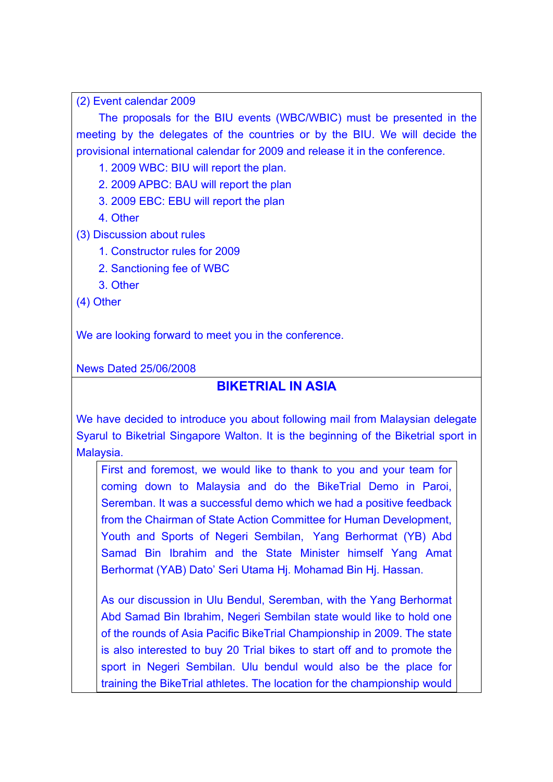(2) Event calendar 2009

The proposals for the BIU events (WBC/WBIC) must be presented in the meeting by the delegates of the countries or by the BIU. We will decide the provisional international calendar for 2009 and release it in the conference.

1. 2009 WBC: BIU will report the plan.

2. 2009 APBC: BAU will report the plan

3. 2009 EBC: EBU will report the plan

4. Other

(3) Discussion about rules

1. Constructor rules for 2009

2. Sanctioning fee of WBC

3. Other

(4) Other

We are looking forward to meet you in the conference.

News Dated 25/06/2008

## **BIKETRIAL IN ASIA**

We have decided to introduce you about following mail from Malaysian delegate Syarul to Biketrial Singapore Walton. It is the beginning of the Biketrial sport in Malaysia.

First and foremost, we would like to thank to you and your team for coming down to Malaysia and do the BikeTrial Demo in Paroi, Seremban. It was a successful demo which we had a positive feedback from the Chairman of State Action Committee for Human Development, Youth and Sports of Negeri Sembilan, Yang Berhormat (YB) Abd Samad Bin Ibrahim and the State Minister himself Yang Amat Berhormat (YAB) Dato' Seri Utama Hj. Mohamad Bin Hj. Hassan.

As our discussion in Ulu Bendul, Seremban, with the Yang Berhormat Abd Samad Bin Ibrahim, Negeri Sembilan state would like to hold one of the rounds of Asia Pacific BikeTrial Championship in 2009. The state is also interested to buy 20 Trial bikes to start off and to promote the sport in Negeri Sembilan. Ulu bendul would also be the place for training the BikeTrial athletes. The location for the championship would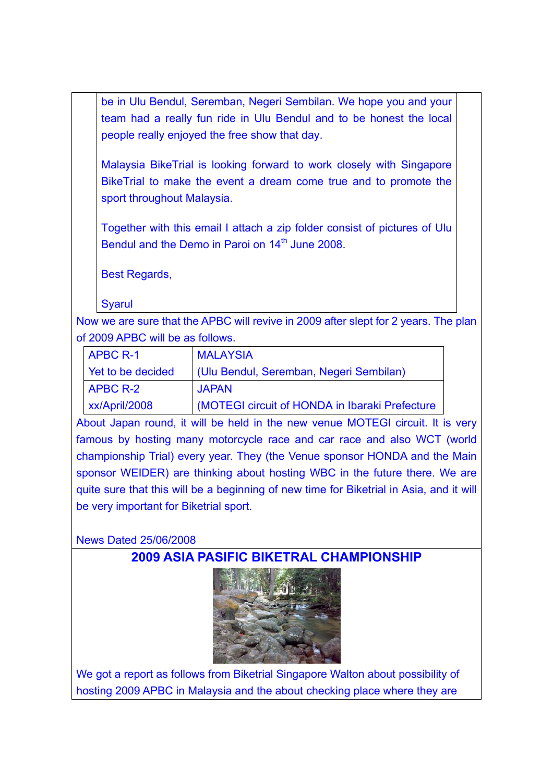be in Ulu Bendul, Seremban, Negeri Sembilan. We hope you and your team had a really fun ride in Ulu Bendul and to be honest the local people really enjoyed the free show that day.

Malaysia BikeTrial is looking forward to work closely with Singapore BikeTrial to make the event a dream come true and to promote the sport throughout Malaysia.

Together with this email I attach a zip folder consist of pictures of Ulu Bendul and the Demo in Paroi on  $14<sup>th</sup>$  June 2008.

Best Regards,

**Syarul** 

Now we are sure that the APBC will revive in 2009 after slept for 2 years. The plan of 2009 APBC will be as follows.

| <b>APBC R-1</b>            | <b>MALAYSIA</b>                                |
|----------------------------|------------------------------------------------|
| Yet to be decided          | (Ulu Bendul, Seremban, Negeri Sembilan)        |
| <b>APBC R-2</b>            | <b>JAPAN</b>                                   |
| $x \times \frac{A}{12008}$ | (MOTEGI circuit of HONDA in Ibaraki Prefecture |

About Japan round, it will be held in the new venue MOTEGI circuit. It is very famous by hosting many motorcycle race and car race and also WCT (world championship Trial) every year. They (the Venue sponsor HONDA and the Main sponsor WEIDER) are thinking about hosting WBC in the future there. We are quite sure that this will be a beginning of new time for Biketrial in Asia, and it will be very important for Biketrial sport.

News Dated 25/06/2008

# **2009 ASIA PASIFIC BIKETRAL CHAMPIONSHIP**



We got a report as follows from Biketrial Singapore Walton about possibility of hosting 2009 APBC in Malaysia and the about checking place where they are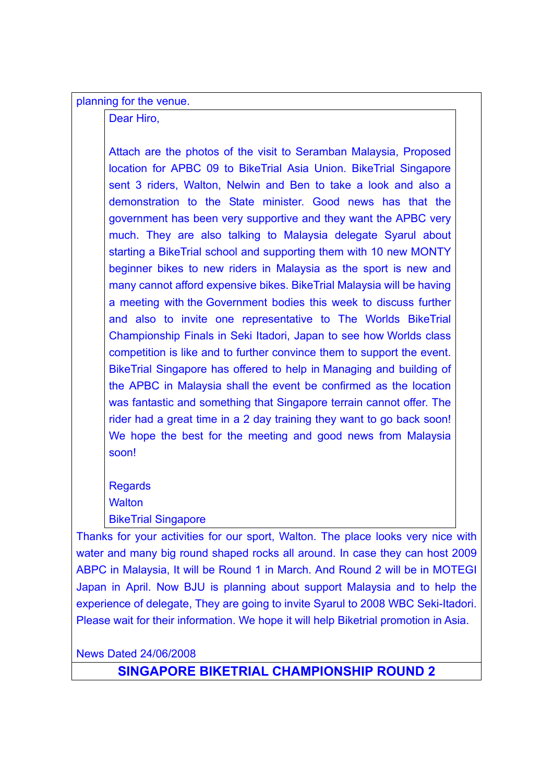planning for the venue.

Dear Hiro,

Attach are the photos of the visit to Seramban Malaysia, Proposed location for APBC 09 to BikeTrial Asia Union. BikeTrial Singapore sent 3 riders, Walton, Nelwin and Ben to take a look and also a demonstration to the State minister. Good news has that the government has been very supportive and they want the APBC very much. They are also talking to Malaysia delegate Syarul about starting a BikeTrial school and supporting them with 10 new MONTY beginner bikes to new riders in Malaysia as the sport is new and many cannot afford expensive bikes. BikeTrial Malaysia will be having a meeting with the Government bodies this week to discuss further and also to invite one representative to The Worlds BikeTrial Championship Finals in Seki Itadori, Japan to see how Worlds class competition is like and to further convince them to support the event. BikeTrial Singapore has offered to help in Managing and building of the APBC in Malaysia shall the event be confirmed as the location was fantastic and something that Singapore terrain cannot offer. The rider had a great time in a 2 day training they want to go back soon! We hope the best for the meeting and good news from Malaysia soon!

Regards **Walton** BikeTrial Singapore

Thanks for your activities for our sport, Walton. The place looks very nice with water and many big round shaped rocks all around. In case they can host 2009 ABPC in Malaysia, It will be Round 1 in March. And Round 2 will be in MOTEGI Japan in April. Now BJU is planning about support Malaysia and to help the experience of delegate, They are going to invite Syarul to 2008 WBC Seki-Itadori. Please wait for their information. We hope it will help Biketrial promotion in Asia.

News Dated 24/06/2008

**SINGAPORE BIKETRIAL CHAMPIONSHIP ROUND 2**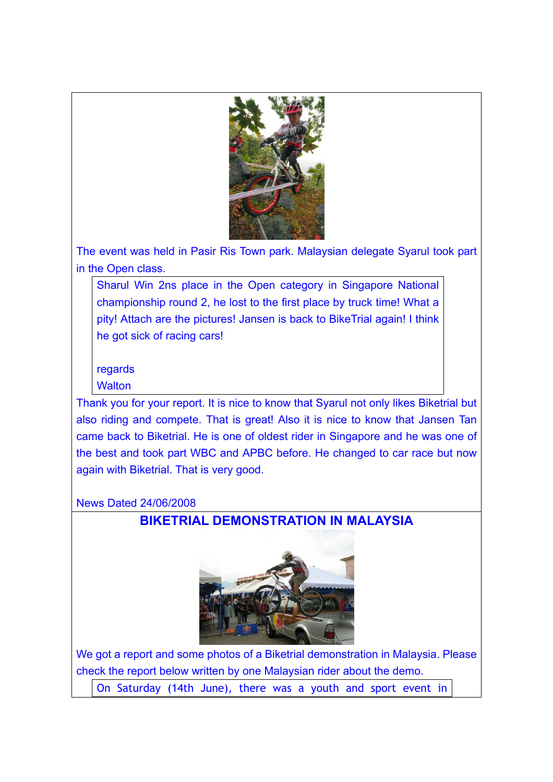

The event was held in Pasir Ris Town park. Malaysian delegate Syarul took part in the Open class.

Sharul Win 2ns place in the Open category in Singapore National championship round 2, he lost to the first place by truck time! What a pity! Attach are the pictures! Jansen is back to BikeTrial again! I think he got sick of racing cars!

regards

**Walton** 

Thank you for your report. It is nice to know that Syarul not only likes Biketrial but also riding and compete. That is great! Also it is nice to know that Jansen Tan came back to Biketrial. He is one of oldest rider in Singapore and he was one of the best and took part WBC and APBC before. He changed to car race but now again with Biketrial. That is very good.

News Dated 24/06/2008

# **BIKETRIAL DEMONSTRATION IN MALAYSIA**



We got a report and some photos of a Biketrial demonstration in Malaysia. Please check the report below written by one Malaysian rider about the demo.

On Saturday (14th June), there was a youth and sport event in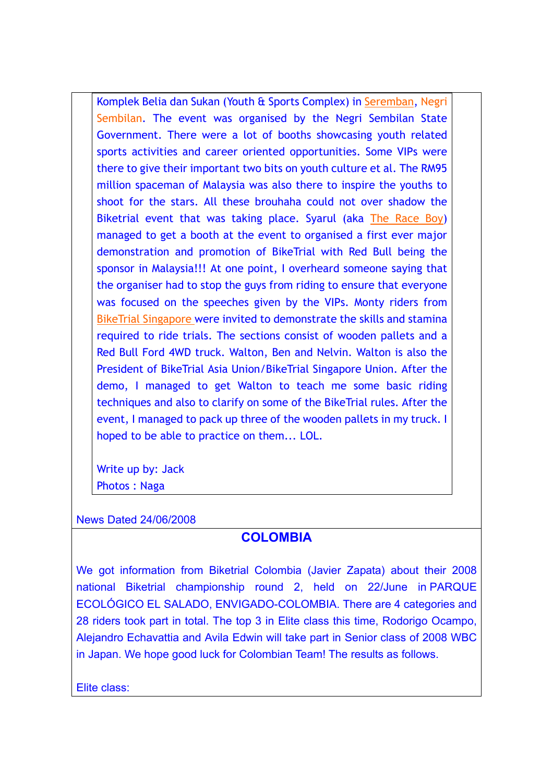Komplek Belia dan Sukan (Youth & Sports Complex) in Seremban, Negri Sembilan. The event was organised by the Negri Sembilan State Government. There were a lot of booths showcasing youth related sports activities and career oriented opportunities. Some VIPs were there to give their important two bits on youth culture et al. The RM95 million spaceman of Malaysia was also there to inspire the youths to shoot for the stars. All these brouhaha could not over shadow the Biketrial event that was taking place. Syarul (aka The Race Boy) managed to get a booth at the event to organised a first ever major demonstration and promotion of BikeTrial with Red Bull being the sponsor in Malaysia!!! At one point, I overheard someone saying that the organiser had to stop the guys from riding to ensure that everyone was focused on the speeches given by the VIPs. Monty riders from BikeTrial Singapore were invited to demonstrate the skills and stamina required to ride trials. The sections consist of wooden pallets and a Red Bull Ford 4WD truck. Walton, Ben and Nelvin. Walton is also the President of BikeTrial Asia Union/BikeTrial Singapore Union. After the demo, I managed to get Walton to teach me some basic riding techniques and also to clarify on some of the BikeTrial rules. After the event, I managed to pack up three of the wooden pallets in my truck. I hoped to be able to practice on them... LOL.

Write up by: Jack Photos : Naga

News Dated 24/06/2008

# **COLOMBIA**

We got information from Biketrial Colombia (Javier Zapata) about their 2008 national Biketrial championship round 2, held on 22/June in PARQUE ECOLÓGICO EL SALADO, ENVIGADO-COLOMBIA. There are 4 categories and 28 riders took part in total. The top 3 in Elite class this time, Rodorigo Ocampo, Alejandro Echavattia and Avila Edwin will take part in Senior class of 2008 WBC in Japan. We hope good luck for Colombian Team! The results as follows.

Elite class: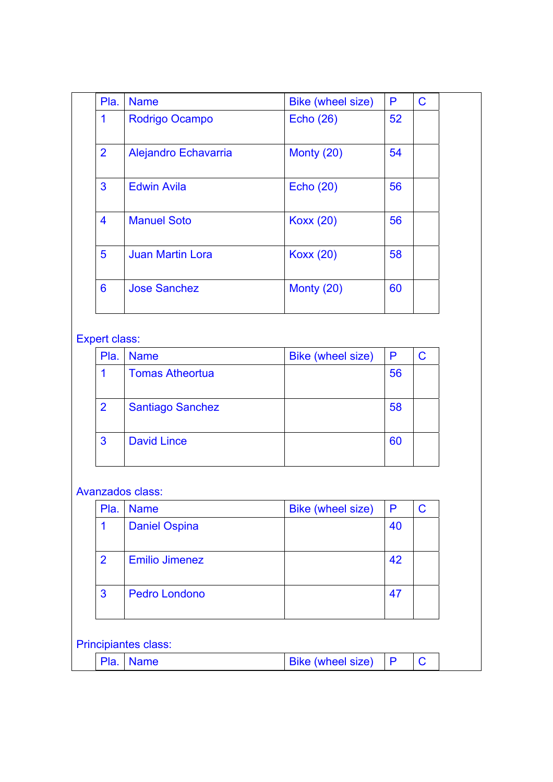| Pla.           | <b>Name</b>             | Bike (wheel size) | P  | $\mathbf C$ |  |
|----------------|-------------------------|-------------------|----|-------------|--|
| 1              | Rodrigo Ocampo          | <b>Echo (26)</b>  | 52 |             |  |
| $\overline{2}$ | Alejandro Echavarria    | Monty (20)        | 54 |             |  |
| 3              | <b>Edwin Avila</b>      | <b>Echo (20)</b>  | 56 |             |  |
| 4              | <b>Manuel Soto</b>      | <b>Koxx (20)</b>  | 56 |             |  |
| 5              | <b>Juan Martin Lora</b> | <b>Koxx (20)</b>  | 58 |             |  |
| 6              | <b>Jose Sanchez</b>     | Monty (20)        | 60 |             |  |

## Expert class:

| Pla.           | <b>Name</b>             | <b>Bike (wheel size)</b> | P  |  |
|----------------|-------------------------|--------------------------|----|--|
|                | <b>Tomas Atheortua</b>  |                          | 56 |  |
| $\overline{2}$ | <b>Santiago Sanchez</b> |                          | 58 |  |
| 3              | <b>David Lince</b>      |                          | 60 |  |

### Avanzados class:

| Pla. | <b>Name</b>           | <b>Bike (wheel size)</b> | P  |  |
|------|-----------------------|--------------------------|----|--|
|      | <b>Daniel Ospina</b>  |                          | 40 |  |
| 2    | <b>Emilio Jimenez</b> |                          | 42 |  |
| 3    | <b>Pedro Londono</b>  |                          | 47 |  |

# Principiantes class:

|  | lame | <b>Bike (wheel size)</b> |  |  |
|--|------|--------------------------|--|--|
|  |      |                          |  |  |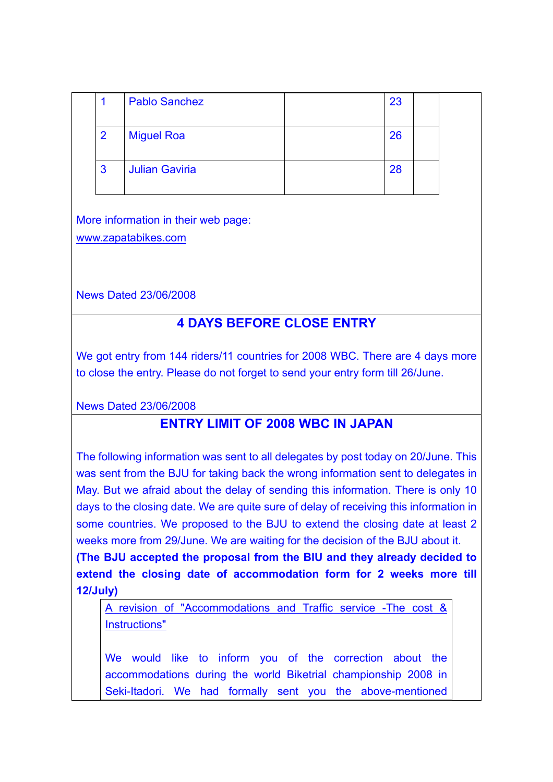|                | <b>Pablo Sanchez</b>  | 23 |  |
|----------------|-----------------------|----|--|
| $\overline{2}$ | <b>Miguel Roa</b>     | 26 |  |
| 3              | <b>Julian Gaviria</b> | 28 |  |

More information in their web page: www.zapatabikes.com

News Dated 23/06/2008

# **4 DAYS BEFORE CLOSE ENTRY**

We got entry from 144 riders/11 countries for 2008 WBC. There are 4 days more to close the entry. Please do not forget to send your entry form till 26/June.

News Dated 23/06/2008

# **ENTRY LIMIT OF 2008 WBC IN JAPAN**

The following information was sent to all delegates by post today on 20/June. This was sent from the BJU for taking back the wrong information sent to delegates in May. But we afraid about the delay of sending this information. There is only 10 days to the closing date. We are quite sure of delay of receiving this information in some countries. We proposed to the BJU to extend the closing date at least 2 weeks more from 29/June. We are waiting for the decision of the BJU about it.

**(The BJU accepted the proposal from the BIU and they already decided to extend the closing date of accommodation form for 2 weeks more till 12/July)** 

A revision of "Accommodations and Traffic service -The cost & Instructions"

We would like to inform you of the correction about the accommodations during the world Biketrial championship 2008 in Seki-Itadori. We had formally sent you the above-mentioned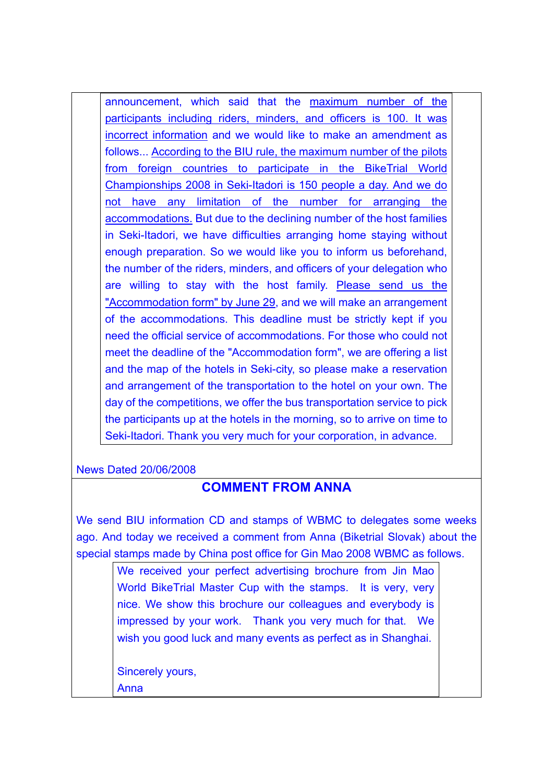announcement, which said that the maximum number of the participants including riders, minders, and officers is 100. It was incorrect information and we would like to make an amendment as follows... According to the BIU rule, the maximum number of the pilots from foreign countries to participate in the BikeTrial World Championships 2008 in Seki-Itadori is 150 people a day. And we do not have any limitation of the number for arranging the accommodations. But due to the declining number of the host families in Seki-Itadori, we have difficulties arranging home staying without enough preparation. So we would like you to inform us beforehand, the number of the riders, minders, and officers of your delegation who are willing to stay with the host family. Please send us the "Accommodation form" by June 29, and we will make an arrangement of the accommodations. This deadline must be strictly kept if you need the official service of accommodations. For those who could not meet the deadline of the "Accommodation form", we are offering a list and the map of the hotels in Seki-city, so please make a reservation and arrangement of the transportation to the hotel on your own. The day of the competitions, we offer the bus transportation service to pick the participants up at the hotels in the morning, so to arrive on time to Seki-Itadori. Thank you very much for your corporation, in advance.

News Dated 20/06/2008

# **COMMENT FROM ANNA**

We send BIU information CD and stamps of WBMC to delegates some weeks ago. And today we received a comment from Anna (Biketrial Slovak) about the special stamps made by China post office for Gin Mao 2008 WBMC as follows.

> We received your perfect advertising brochure from Jin Mao World BikeTrial Master Cup with the stamps. It is very, very nice. We show this brochure our colleagues and everybody is impressed by your work. Thank you very much for that. We wish you good luck and many events as perfect as in Shanghai.

Sincerely yours,

Anna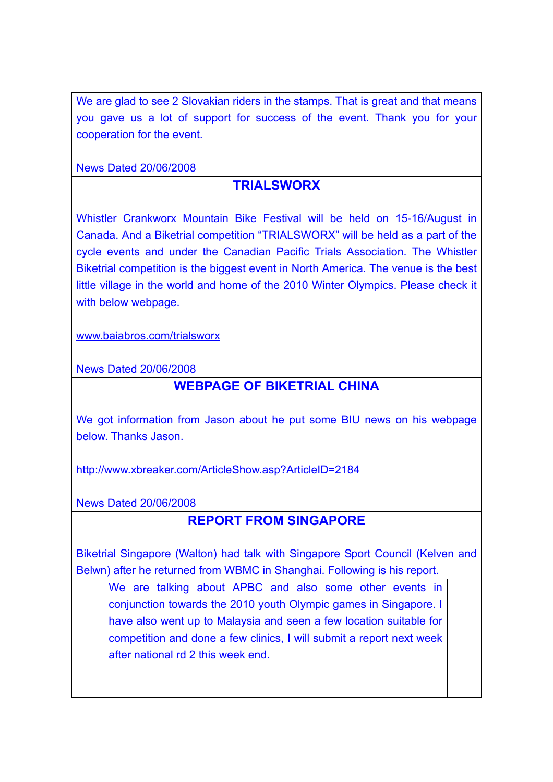We are glad to see 2 Slovakian riders in the stamps. That is great and that means you gave us a lot of support for success of the event. Thank you for your cooperation for the event.

News Dated 20/06/2008

# **TRIALSWORX**

Whistler Crankworx Mountain Bike Festival will be held on 15-16/August in Canada. And a Biketrial competition "TRIALSWORX" will be held as a part of the cycle events and under the Canadian Pacific Trials Association. The Whistler Biketrial competition is the biggest event in North America. The venue is the best little village in the world and home of the 2010 Winter Olympics. Please check it with below webpage.

www.baiabros.com/trialsworx

News Dated 20/06/2008

## **WEBPAGE OF BIKETRIAL CHINA**

We got information from Jason about he put some BIU news on his webpage below. Thanks Jason.

http://www.xbreaker.com/ArticleShow.asp?ArticleID=2184

News Dated 20/06/2008

# **REPORT FROM SINGAPORE**

Biketrial Singapore (Walton) had talk with Singapore Sport Council (Kelven and Belwn) after he returned from WBMC in Shanghai. Following is his report.

We are talking about APBC and also some other events in conjunction towards the 2010 youth Olympic games in Singapore. I have also went up to Malaysia and seen a few location suitable for competition and done a few clinics, I will submit a report next week after national rd 2 this week end.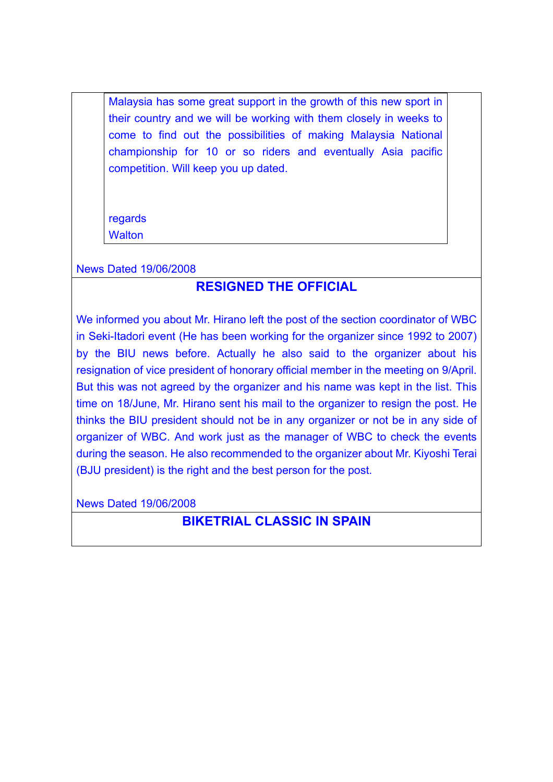Malaysia has some great support in the growth of this new sport in their country and we will be working with them closely in weeks to come to find out the possibilities of making Malaysia National championship for 10 or so riders and eventually Asia pacific competition. Will keep you up dated.

**regards** 

**Walton** 

### News Dated 19/06/2008

## **RESIGNED THE OFFICIAL**

We informed you about Mr. Hirano left the post of the section coordinator of WBC in Seki-Itadori event (He has been working for the organizer since 1992 to 2007) by the BIU news before. Actually he also said to the organizer about his resignation of vice president of honorary official member in the meeting on 9/April. But this was not agreed by the organizer and his name was kept in the list. This time on 18/June, Mr. Hirano sent his mail to the organizer to resign the post. He thinks the BIU president should not be in any organizer or not be in any side of organizer of WBC. And work just as the manager of WBC to check the events during the season. He also recommended to the organizer about Mr. Kiyoshi Terai (BJU president) is the right and the best person for the post.

News Dated 19/06/2008

# **BIKETRIAL CLASSIC IN SPAIN**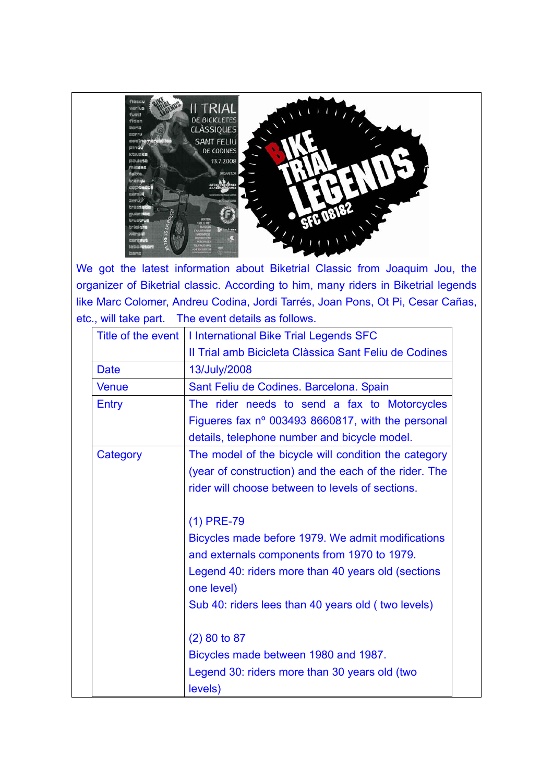

We got the latest information about Biketrial Classic from Joaquim Jou, the organizer of Biketrial classic. According to him, many riders in Biketrial legends like Marc Colomer, Andreu Codina, Jordi Tarrés, Joan Pons, Ot Pi, Cesar Cañas, etc., will take part. The event details as follows.

|              | Title of the event   I International Bike Trial Legends SFC      |
|--------------|------------------------------------------------------------------|
|              | Il Trial amb Bicicleta Clàssica Sant Feliu de Codines            |
| <b>Date</b>  | 13/July/2008                                                     |
| <b>Venue</b> | Sant Feliu de Codines. Barcelona. Spain                          |
| Entry        | The rider needs to send a fax to Motorcycles                     |
|              | Figueres fax nº 003493 8660817, with the personal                |
|              | details, telephone number and bicycle model.                     |
| Category     | The model of the bicycle will condition the category             |
|              | (year of construction) and the each of the rider. The            |
|              | rider will choose between to levels of sections.                 |
|              | $(1)$ PRE-79                                                     |
|              | Bicycles made before 1979. We admit modifications                |
|              | and externals components from 1970 to 1979.                      |
|              | Legend 40: riders more than 40 years old (sections<br>one level) |
|              | Sub 40: riders lees than 40 years old (two levels)               |
|              | $(2)$ 80 to 87                                                   |
|              | Bicycles made between 1980 and 1987.                             |
|              | Legend 30: riders more than 30 years old (two<br>levels)         |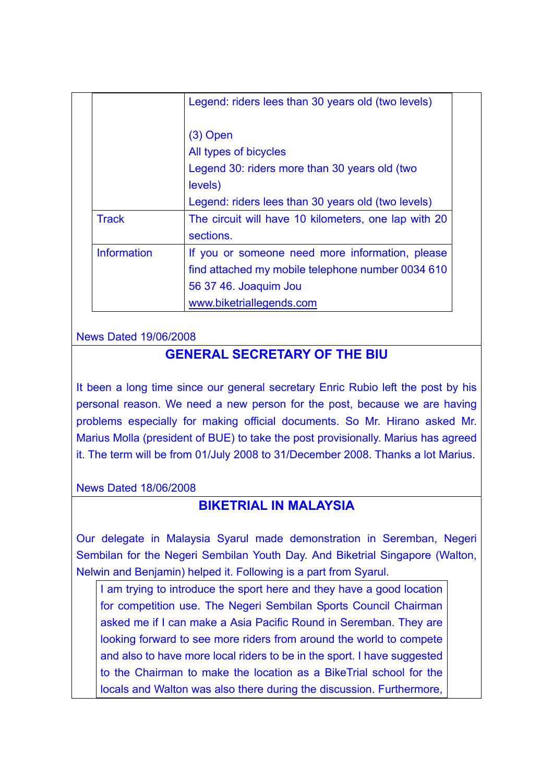|                    | Legend: riders lees than 30 years old (two levels)                |  |
|--------------------|-------------------------------------------------------------------|--|
|                    | $(3)$ Open                                                        |  |
|                    | All types of bicycles                                             |  |
|                    | Legend 30: riders more than 30 years old (two                     |  |
| levels)            |                                                                   |  |
|                    | Legend: riders lees than 30 years old (two levels)                |  |
| <b>Track</b>       | The circuit will have 10 kilometers, one lap with 20<br>sections. |  |
| <b>Information</b> | If you or someone need more information, please                   |  |
|                    | find attached my mobile telephone number 0034 610                 |  |
|                    | 56 37 46. Joaquim Jou                                             |  |
|                    | www.biketriallegends.com                                          |  |

### News Dated 19/06/2008

## **GENERAL SECRETARY OF THE BIU**

It been a long time since our general secretary Enric Rubio left the post by his personal reason. We need a new person for the post, because we are having problems especially for making official documents. So Mr. Hirano asked Mr. Marius Molla (president of BUE) to take the post provisionally. Marius has agreed it. The term will be from 01/July 2008 to 31/December 2008. Thanks a lot Marius.

News Dated 18/06/2008

# **BIKETRIAL IN MALAYSIA**

Our delegate in Malaysia Syarul made demonstration in Seremban, Negeri Sembilan for the Negeri Sembilan Youth Day. And Biketrial Singapore (Walton, Nelwin and Benjamin) helped it. Following is a part from Syarul.

I am trying to introduce the sport here and they have a good location for competition use. The Negeri Sembilan Sports Council Chairman asked me if I can make a Asia Pacific Round in Seremban. They are looking forward to see more riders from around the world to compete and also to have more local riders to be in the sport. I have suggested to the Chairman to make the location as a BikeTrial school for the locals and Walton was also there during the discussion. Furthermore,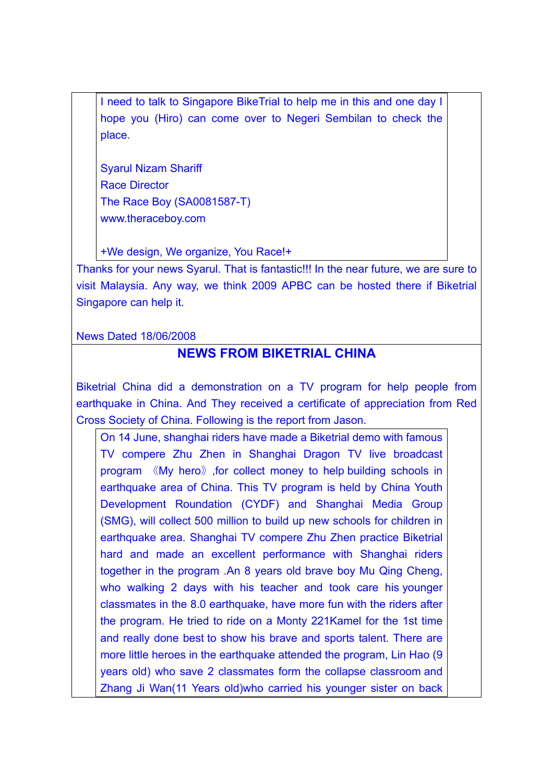I need to talk to Singapore BikeTrial to help me in this and one day I hope you (Hiro) can come over to Negeri Sembilan to check the place.

Syarul Nizam Shariff Race Director The Race Boy (SA0081587-T) www.theraceboy.com

+We design, We organize, You Race!+

Thanks for your news Syarul. That is fantastic!!! In the near future, we are sure to visit Malaysia. Any way, we think 2009 APBC can be hosted there if Biketrial Singapore can help it.

News Dated 18/06/2008

# **NEWS FROM BIKETRIAL CHINA**

Biketrial China did a demonstration on a TV program for help people from earthquake in China. And They received a certificate of appreciation from Red Cross Society of China. Following is the report from Jason.

On 14 June, shanghai riders have made a Biketrial demo with famous TV compere Zhu Zhen in Shanghai Dragon TV live broadcast program 《My hero》,for collect money to help building schools in earthquake area of China. This TV program is held by China Youth Development Roundation (CYDF) and Shanghai Media Group (SMG), will collect 500 million to build up new schools for children in earthquake area. Shanghai TV compere Zhu Zhen practice Biketrial hard and made an excellent performance with Shanghai riders together in the program .An 8 years old brave boy Mu Qing Cheng, who walking 2 days with his teacher and took care his younger classmates in the 8.0 earthquake, have more fun with the riders after the program. He tried to ride on a Monty 221Kamel for the 1st time and really done best to show his brave and sports talent. There are more little heroes in the earthquake attended the program, Lin Hao (9 years old) who save 2 classmates form the collapse classroom and Zhang Ji Wan(11 Years old)who carried his younger sister on back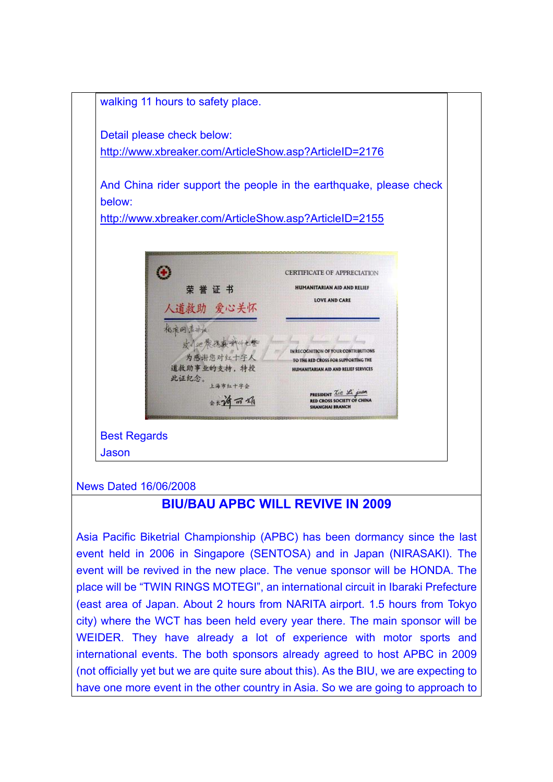

#### News Dated 16/06/2008

## **BIU/BAU APBC WILL REVIVE IN 2009**

Asia Pacific Biketrial Championship (APBC) has been dormancy since the last event held in 2006 in Singapore (SENTOSA) and in Japan (NIRASAKI). The event will be revived in the new place. The venue sponsor will be HONDA. The place will be "TWIN RINGS MOTEGI", an international circuit in Ibaraki Prefecture (east area of Japan. About 2 hours from NARITA airport. 1.5 hours from Tokyo city) where the WCT has been held every year there. The main sponsor will be WEIDER. They have already a lot of experience with motor sports and international events. The both sponsors already agreed to host APBC in 2009 (not officially yet but we are quite sure about this). As the BIU, we are expecting to have one more event in the other country in Asia. So we are going to approach to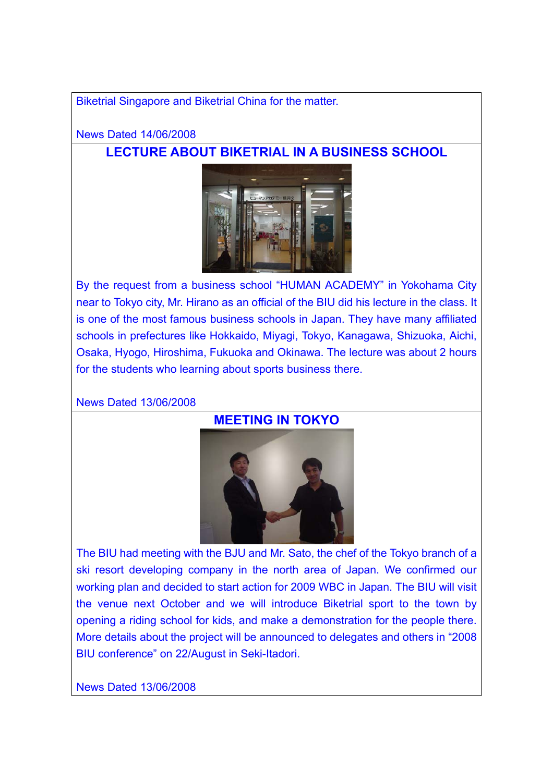Biketrial Singapore and Biketrial China for the matter.

### News Dated 14/06/2008

# **LECTURE ABOUT BIKETRIAL IN A BUSINESS SCHOOL**



By the request from a business school "HUMAN ACADEMY" in Yokohama City near to Tokyo city, Mr. Hirano as an official of the BIU did his lecture in the class. It is one of the most famous business schools in Japan. They have many affiliated schools in prefectures like Hokkaido, Miyagi, Tokyo, Kanagawa, Shizuoka, Aichi, Osaka, Hyogo, Hiroshima, Fukuoka and Okinawa. The lecture was about 2 hours for the students who learning about sports business there.

#### News Dated 13/06/2008

## **MEETING IN TOKYO**



The BIU had meeting with the BJU and Mr. Sato, the chef of the Tokyo branch of a ski resort developing company in the north area of Japan. We confirmed our working plan and decided to start action for 2009 WBC in Japan. The BIU will visit the venue next October and we will introduce Biketrial sport to the town by opening a riding school for kids, and make a demonstration for the people there. More details about the project will be announced to delegates and others in "2008 BIU conference" on 22/August in Seki-Itadori.

News Dated 13/06/2008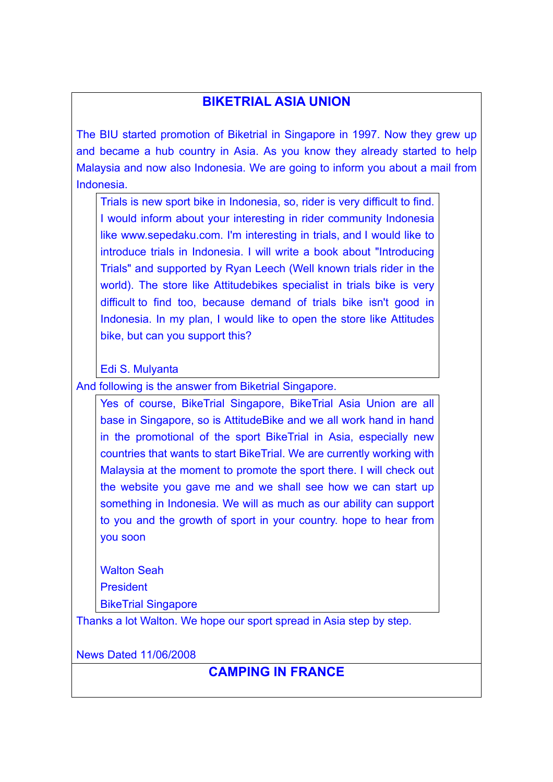# **BIKETRIAL ASIA UNION**

The BIU started promotion of Biketrial in Singapore in 1997. Now they grew up and became a hub country in Asia. As you know they already started to help Malaysia and now also Indonesia. We are going to inform you about a mail from Indonesia.

Trials is new sport bike in Indonesia, so, rider is very difficult to find. I would inform about your interesting in rider community Indonesia like www.sepedaku.com. I'm interesting in trials, and I would like to introduce trials in Indonesia. I will write a book about "Introducing Trials" and supported by Ryan Leech (Well known trials rider in the world). The store like Attitudebikes specialist in trials bike is very difficult to find too, because demand of trials bike isn't good in Indonesia. In my plan, I would like to open the store like Attitudes bike, but can you support this?

Edi S. Mulyanta

And following is the answer from Biketrial Singapore.

Yes of course, BikeTrial Singapore, BikeTrial Asia Union are all base in Singapore, so is AttitudeBike and we all work hand in hand in the promotional of the sport BikeTrial in Asia, especially new countries that wants to start BikeTrial. We are currently working with Malaysia at the moment to promote the sport there. I will check out the website you gave me and we shall see how we can start up something in Indonesia. We will as much as our ability can support to you and the growth of sport in your country. hope to hear from you soon

Walton Seah President BikeTrial Singapore

Thanks a lot Walton. We hope our sport spread in Asia step by step.

News Dated 11/06/2008

# **CAMPING IN FRANCE**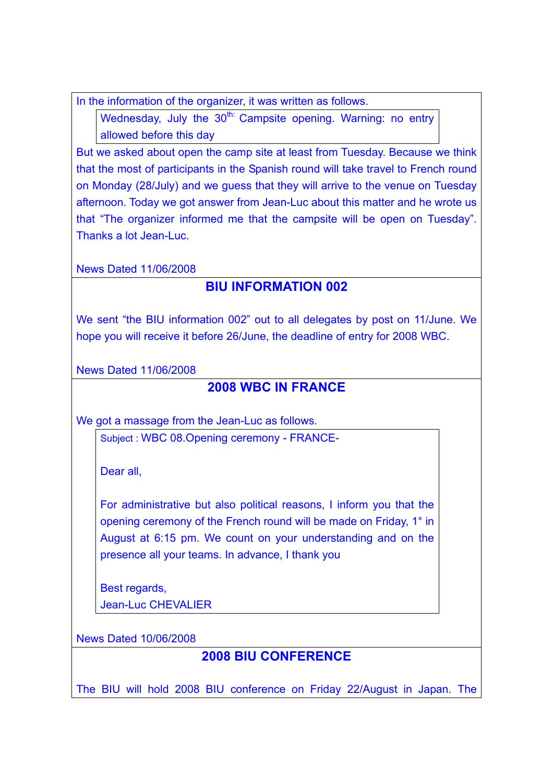In the information of the organizer, it was written as follows.

Wednesday, July the 30<sup>th:</sup> Campsite opening. Warning: no entry allowed before this day

But we asked about open the camp site at least from Tuesday. Because we think that the most of participants in the Spanish round will take travel to French round on Monday (28/July) and we guess that they will arrive to the venue on Tuesday afternoon. Today we got answer from Jean-Luc about this matter and he wrote us that "The organizer informed me that the campsite will be open on Tuesday". Thanks a lot Jean-Luc.

News Dated 11/06/2008

# **BIU INFORMATION 002**

We sent "the BIU information 002" out to all delegates by post on 11/June. We hope you will receive it before 26/June, the deadline of entry for 2008 WBC.

News Dated 11/06/2008

# **2008 WBC IN FRANCE**

We got a massage from the Jean-Luc as follows.

Subject : WBC 08.Opening ceremony - FRANCE-

Dear all,

For administrative but also political reasons, I inform you that the opening ceremony of the French round will be made on Friday, 1° in August at 6:15 pm. We count on your understanding and on the presence all your teams. In advance, I thank you

Best regards, Jean-Luc CHEVALIER

News Dated 10/06/2008

# **2008 BIU CONFERENCE**

The BIU will hold 2008 BIU conference on Friday 22/August in Japan. The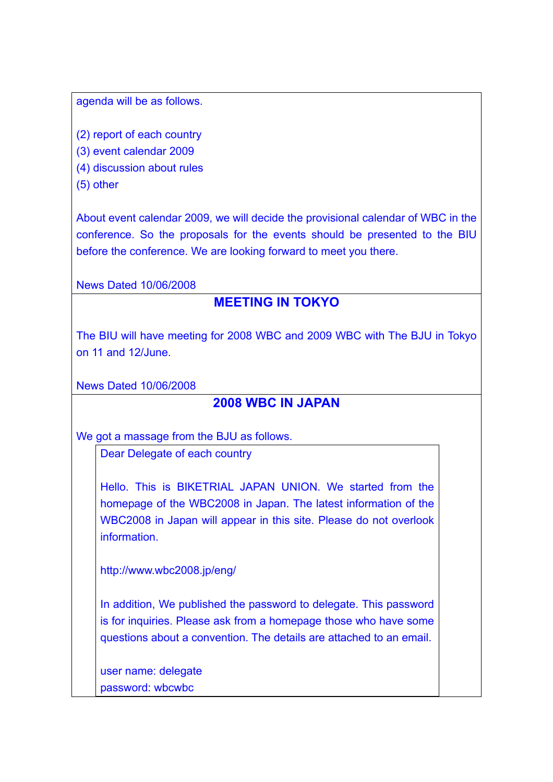agenda will be as follows.

(2) report of each country

(3) event calendar 2009

(4) discussion about rules

(5) other

About event calendar 2009, we will decide the provisional calendar of WBC in the conference. So the proposals for the events should be presented to the BIU before the conference. We are looking forward to meet you there.

News Dated 10/06/2008

# **MEETING IN TOKYO**

The BIU will have meeting for 2008 WBC and 2009 WBC with The BJU in Tokyo on 11 and 12/June.

News Dated 10/06/2008

# **2008 WBC IN JAPAN**

We got a massage from the BJU as follows.

Dear Delegate of each country

Hello. This is BIKETRIAL JAPAN UNION. We started from the homepage of the WBC2008 in Japan. The latest information of the WBC2008 in Japan will appear in this site. Please do not overlook information.

http://www.wbc2008.jp/eng/

In addition, We published the password to delegate. This password is for inquiries. Please ask from a homepage those who have some questions about a convention. The details are attached to an email.

user name: delegate password: wbcwbc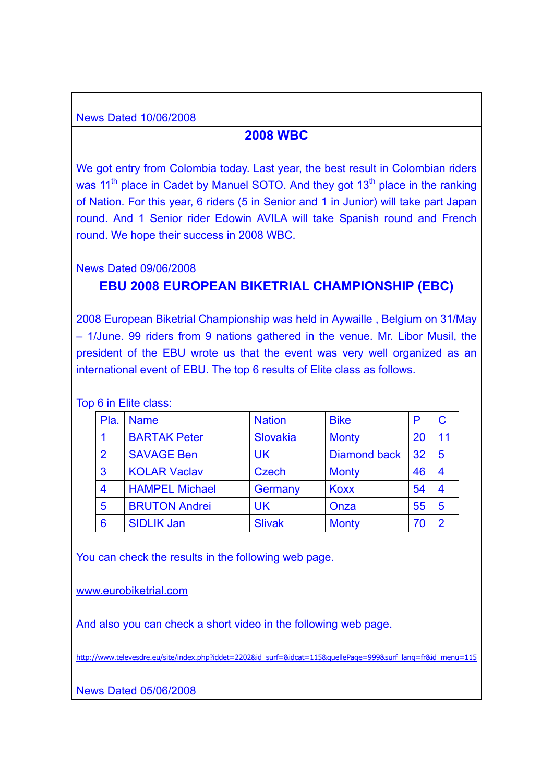News Dated 10/06/2008

## **2008 WBC**

We got entry from Colombia today. Last year, the best result in Colombian riders was  $11<sup>th</sup>$  place in Cadet by Manuel SOTO. And they got  $13<sup>th</sup>$  place in the ranking of Nation. For this year, 6 riders (5 in Senior and 1 in Junior) will take part Japan round. And 1 Senior rider Edowin AVILA will take Spanish round and French round. We hope their success in 2008 WBC.

News Dated 09/06/2008

# **EBU 2008 EUROPEAN BIKETRIAL CHAMPIONSHIP (EBC)**

2008 European Biketrial Championship was held in Aywaille , Belgium on 31/May – 1/June. 99 riders from 9 nations gathered in the venue. Mr. Libor Musil, the president of the EBU wrote us that the event was very well organized as an international event of EBU. The top 6 results of Elite class as follows.

Top 6 in Elite class:

| Pla.            | <b>Name</b>           | <b>Nation</b> | <b>Bike</b>         | P  |                  |
|-----------------|-----------------------|---------------|---------------------|----|------------------|
|                 | <b>BARTAK Peter</b>   | Slovakia      | <b>Monty</b>        | 20 | 11               |
| $\overline{2}$  | <b>SAVAGE Ben</b>     | <b>UK</b>     | <b>Diamond back</b> | 32 | 5                |
| $\mathbf{3}$    | <b>KOLAR Vaclav</b>   | <b>Czech</b>  | <b>Monty</b>        | 46 | $\boldsymbol{4}$ |
| $\overline{4}$  | <b>HAMPEL Michael</b> | Germany       | <b>Koxx</b>         | 54 | $\boldsymbol{4}$ |
| $5\phantom{1}$  | <b>BRUTON Andrei</b>  | <b>UK</b>     | Onza                | 55 | 5                |
| $6\phantom{1}6$ | <b>SIDLIK Jan</b>     | <b>Slivak</b> | <b>Monty</b>        | 70 | 2                |

You can check the results in the following web page.

www.eurobiketrial.com

And also you can check a short video in the following web page.

http://www.televesdre.eu/site/index.php?iddet=2202&id\_surf=&idcat=115&quellePage=999&surf\_lang=fr&id\_menu=115

News Dated 05/06/2008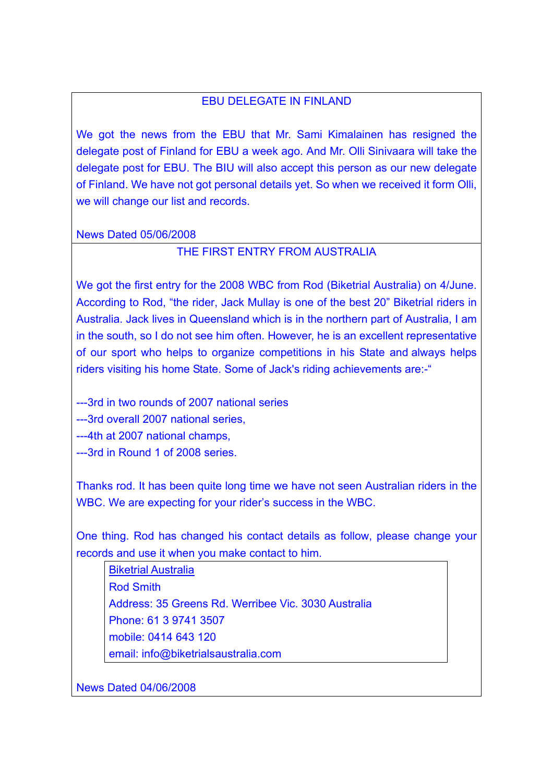### EBU DELEGATE IN FINLAND

We got the news from the EBU that Mr. Sami Kimalainen has resigned the delegate post of Finland for EBU a week ago. And Mr. Olli Sinivaara will take the delegate post for EBU. The BIU will also accept this person as our new delegate of Finland. We have not got personal details yet. So when we received it form Olli, we will change our list and records.

#### News Dated 05/06/2008

### THE FIRST ENTRY FROM AUSTRALIA

We got the first entry for the 2008 WBC from Rod (Biketrial Australia) on 4/June. According to Rod, "the rider, Jack Mullay is one of the best 20" Biketrial riders in Australia. Jack lives in Queensland which is in the northern part of Australia, I am in the south, so I do not see him often. However, he is an excellent representative of our sport who helps to organize competitions in his State and always helps riders visiting his home State. Some of Jack's riding achievements are:-"

---3rd in two rounds of 2007 national series

---3rd overall 2007 national series,

---4th at 2007 national champs,

---3rd in Round 1 of 2008 series.

Thanks rod. It has been quite long time we have not seen Australian riders in the WBC. We are expecting for your rider's success in the WBC.

One thing. Rod has changed his contact details as follow, please change your records and use it when you make contact to him.

Biketrial Australia Rod Smith Address: 35 Greens Rd. Werribee Vic. 3030 Australia Phone: 61 3 9741 3507 mobile: 0414 643 120 email: info@biketrialsaustralia.com

News Dated 04/06/2008